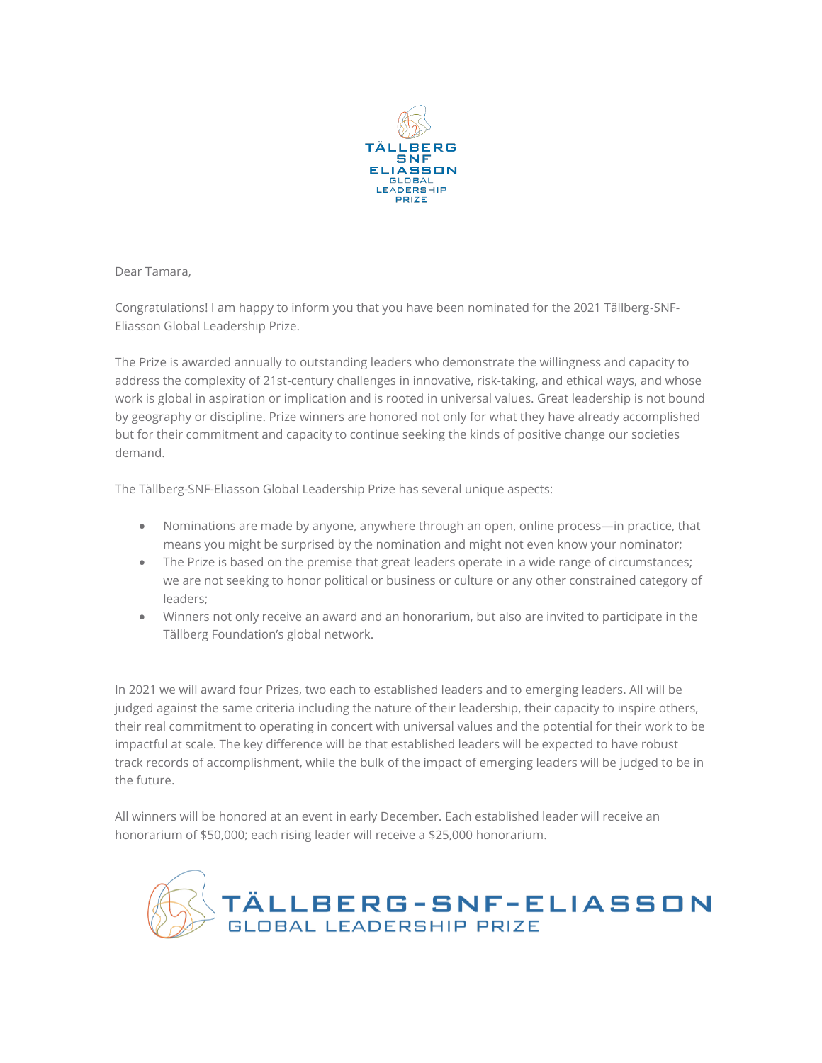

Dear Tamara,

Congratulations! I am happy to inform you that you have been nominated for the 2021 Tällberg-SNF-Eliasson Global Leadership Prize.

The Prize is awarded annually to outstanding leaders who demonstrate the willingness and capacity to address the complexity of 21st-century challenges in innovative, risk-taking, and ethical ways, and whose work is global in aspiration or implication and is rooted in universal values. Great leadership is not bound by geography or discipline. Prize winners are honored not only for what they have already accomplished but for their commitment and capacity to continue seeking the kinds of positive change our societies demand.

The Tällberg-SNF-Eliasson Global Leadership Prize has several unique aspects:

- Nominations are made by anyone, anywhere through an open, online process—in practice, that means you might be surprised by the nomination and might not even know your nominator;
- The Prize is based on the premise that great leaders operate in a wide range of circumstances; we are not seeking to honor political or business or culture or any other constrained category of leaders;
- Winners not only receive an award and an honorarium, but also are invited to participate in the Tällberg Foundation's global network.

In 2021 we will award four Prizes, two each to established leaders and to emerging leaders. All will be judged against the same criteria including the nature of their leadership, their capacity to inspire others, their real commitment to operating in concert with universal values and the potential for their work to be impactful at scale. The key difference will be that established leaders will be expected to have robust track records of accomplishment, while the bulk of the impact of emerging leaders will be judged to be in the future.

All winners will be honored at an event in early December. Each established leader will receive an honorarium of \$50,000; each rising leader will receive a \$25,000 honorarium.